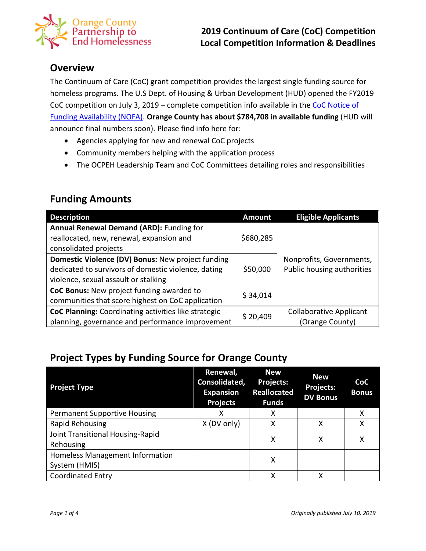

### **Overview**

The Continuum of Care (CoC) grant competition provides the largest single funding source for homeless programs. The U.S Dept. of Housing & Urban Development (HUD) opened the FY2019 CoC competition on July 3, 2019 – complete competition info available in the [CoC Notice of](https://www.hudexchange.info/resource/5842/fy-2019-coc-program-nofa/)  [Funding Availability \(NOFA\).](https://www.hudexchange.info/resource/5842/fy-2019-coc-program-nofa/) **Orange County has about \$784,708 in available funding** (HUD will announce final numbers soon). Please find info here for:

- Agencies applying for new and renewal CoC projects
- Community members helping with the application process
- The OCPEH Leadership Team and CoC Committees detailing roles and responsibilities

| <b>Description</b>                                          | <b>Amount</b> | <b>Eligible Applicants</b>     |
|-------------------------------------------------------------|---------------|--------------------------------|
| Annual Renewal Demand (ARD): Funding for                    |               |                                |
| reallocated, new, renewal, expansion and                    | \$680,285     |                                |
| consolidated projects                                       |               | Nonprofits, Governments,       |
| Domestic Violence (DV) Bonus: New project funding           |               |                                |
| dedicated to survivors of domestic violence, dating         | \$50,000      | Public housing authorities     |
| violence, sexual assault or stalking                        |               |                                |
| CoC Bonus: New project funding awarded to                   | \$34,014      |                                |
| communities that score highest on CoC application           |               |                                |
| <b>CoC Planning:</b> Coordinating activities like strategic | \$20,409      | <b>Collaborative Applicant</b> |
| planning, governance and performance improvement            |               | (Orange County)                |

### **Funding Amounts**

# **Project Types by Funding Source for Orange County**

| <b>Project Type</b>                 | Renewal,<br>Consolidated,<br><b>Expansion</b><br><b>Projects</b> | <b>New</b><br><b>Projects:</b><br><b>Reallocated</b><br><b>Funds</b> | <b>New</b><br>Projects:<br><b>DV Bonus</b> | <b>CoC</b><br><b>Bonus</b> |
|-------------------------------------|------------------------------------------------------------------|----------------------------------------------------------------------|--------------------------------------------|----------------------------|
| <b>Permanent Supportive Housing</b> | x                                                                | х                                                                    |                                            | х                          |
| Rapid Rehousing                     | X (DV only)                                                      | х                                                                    | x                                          | х                          |
| Joint Transitional Housing-Rapid    |                                                                  | Χ                                                                    | x                                          | х                          |
| Rehousing                           |                                                                  |                                                                      |                                            |                            |
| Homeless Management Information     | X                                                                |                                                                      |                                            |                            |
| System (HMIS)                       |                                                                  |                                                                      |                                            |                            |
| <b>Coordinated Entry</b>            |                                                                  | х                                                                    | χ                                          |                            |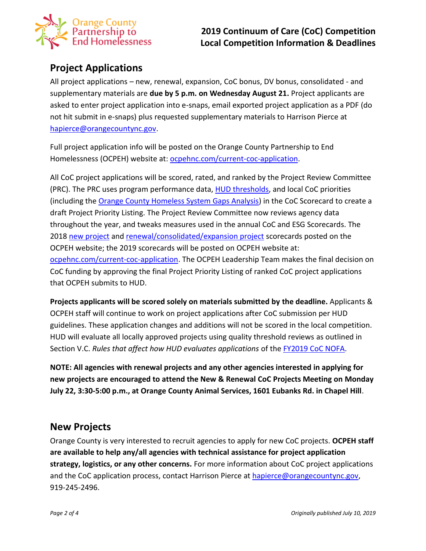

## **Project Applications**

All project applications – new, renewal, expansion, CoC bonus, DV bonus, consolidated - and supplementary materials are **due by 5 p.m. on Wednesday August 21.** Project applicants are asked to enter project application into e-snaps, email exported project application as a PDF (do not hit submit in e-snaps) plus requested supplementary materials to Harrison Pierce at [hapierce@orangecountync.gov.](mailto:hapierce@orangecountync.gov)

Full project application info will be posted on the Orange County Partnership to End Homelessness (OCPEH) website at: [ocpehnc.com/current-coc-application.](https://www.ocpehnc.com/current-coc-application)

All CoC project applications will be scored, rated, and ranked by the Project Review Committee (PRC). The PRC uses program performance data, [HUD thresholds,](https://docs.wixstatic.com/ugd/750b3b_affcd687ce2544168e54ed974797887a.pdf) and local CoC priorities (including the [Orange County Homeless System Gaps Analysis\)](https://docs.wixstatic.com/ugd/750b3b_b8af4c181dbe4b10a2e8c8223bdb533b.pdf) in the CoC Scorecard to create a draft Project Priority Listing. The Project Review Committee now reviews agency data throughout the year, and tweaks measures used in the annual CoC and ESG Scorecards. The 2018 [new project](https://docs.wixstatic.com/ugd/750b3b_623b85a5e40d46ce9dda4d4519f13c47.pdf) and [renewal/consolidated/expansion project](https://docs.wixstatic.com/ugd/750b3b_39134ba9457741eca8532ef949129222.pdf) scorecards posted on the OCPEH website; the 2019 scorecards will be posted on OCPEH website at: [ocpehnc.com/current-coc-application.](https://www.ocpehnc.com/current-coc-application) The OCPEH Leadership Team makes the final decision on CoC funding by approving the final Project Priority Listing of ranked CoC project applications that OCPEH submits to HUD.

**Projects applicants will be scored solely on materials submitted by the deadline.** Applicants & OCPEH staff will continue to work on project applications after CoC submission per HUD guidelines. These application changes and additions will not be scored in the local competition. HUD will evaluate all locally approved projects using quality threshold reviews as outlined in Section V.C. *Rules that affect how HUD evaluates applications* of the [FY2019 CoC NOFA.](https://www.hudexchange.info/resource/5842/fy-2019-coc-program-nofa/)

**NOTE: All agencies with renewal projects and any other agencies interested in applying for new projects are encouraged to attend the New & Renewal CoC Projects Meeting on Monday July 22, 3:30-5:00 p.m., at Orange County Animal Services, 1601 Eubanks Rd. in Chapel Hill**.

### **New Projects**

Orange County is very interested to recruit agencies to apply for new CoC projects. **OCPEH staff are available to help any/all agencies with technical assistance for project application strategy, logistics, or any other concerns.** For more information about CoC project applications and the CoC application process, contact Harrison Pierce a[t hapierce@orangecountync.gov,](mailto:hapierce@orangecountync.gov) 919-245-2496.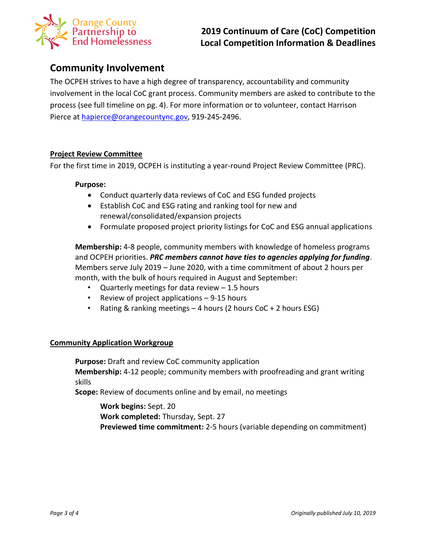

### **Community Involvement**

The OCPEH strives to have a high degree of transparency, accountability and community involvement in the local CoC grant process. Community members are asked to contribute to the process (see full timeline on pg. 4). For more information or to volunteer, contact Harrison Pierce at [hapierce@orangecountync.gov,](mailto:hapierce@orangecountync.gov) 919-245-2496.

#### **Project Review Committee**

For the first time in 2019, OCPEH is instituting a year-round Project Review Committee (PRC).

#### **Purpose:**

- Conduct quarterly data reviews of CoC and ESG funded projects
- Establish CoC and ESG rating and ranking tool for new and renewal/consolidated/expansion projects
- Formulate proposed project priority listings for CoC and ESG annual applications

**Membership:** 4-8 people, community members with knowledge of homeless programs and OCPEH priorities. *PRC members cannot have ties to agencies applying for funding*. Members serve July 2019 – June 2020, with a time commitment of about 2 hours per month, with the bulk of hours required in August and September:

- Quarterly meetings for data review  $-1.5$  hours
- Review of project applications 9-15 hours
- Rating & ranking meetings 4 hours (2 hours CoC + 2 hours ESG)

#### **Community Application Workgroup**

**Purpose:** Draft and review CoC community application **Membership:** 4-12 people; community members with proofreading and grant writing skills

**Scope:** Review of documents online and by email, no meetings

**Work begins:** Sept. 20 **Work completed:** Thursday, Sept. 27 **Previewed time commitment:** 2-5 hours (variable depending on commitment)